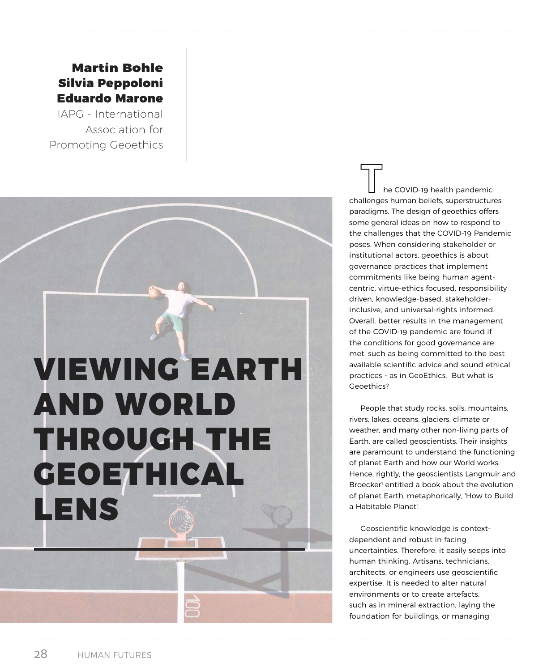## Martin Bohle Silvia Peppoloni Eduardo Marone

IAPG - International Association for Promoting Geoethics

## VIEWING EARTH AND WORLD THROUGH THE GEOETHICAL LENS

he COVID-19 health pandemic challenges human beliefs, superstructures, paradigms. The design of geoethics offers some general ideas on how to respond to the challenges that the COVID-19 Pandemic poses. When considering stakeholder or institutional actors, geoethics is about governance practices that implement commitments like being human agentcentric, virtue-ethics focused, responsibility driven, knowledge-based, stakeholderinclusive, and universal-rights informed. Overall, better results in the management of the COVID-19 pandemic are found if the conditions for good governance are met. such as being committed to the best available scientific advice and sound ethical practices - as in GeoEthics. But what is Geoethics?

People that study rocks, soils, mountains, rivers, lakes, oceans, glaciers, climate or weather, and many other non-living parts of Earth, are called geoscientists. Their insights are paramount to understand the functioning of planet Earth and how our World works. Hence, rightly, the geoscientists Langmuir and Broecker<sup>1</sup> entitled a book about the evolution of planet Earth, metaphorically, 'How to Build a Habitable Planet'.

Geoscientific knowledge is contextdependent and robust in facing uncertainties. Therefore, it easily seeps into human thinking. Artisans, technicians, architects, or engineers use geoscientific expertise. It is needed to alter natural environments or to create artefacts, such as in mineral extraction, laying the foundation for buildings, or managing